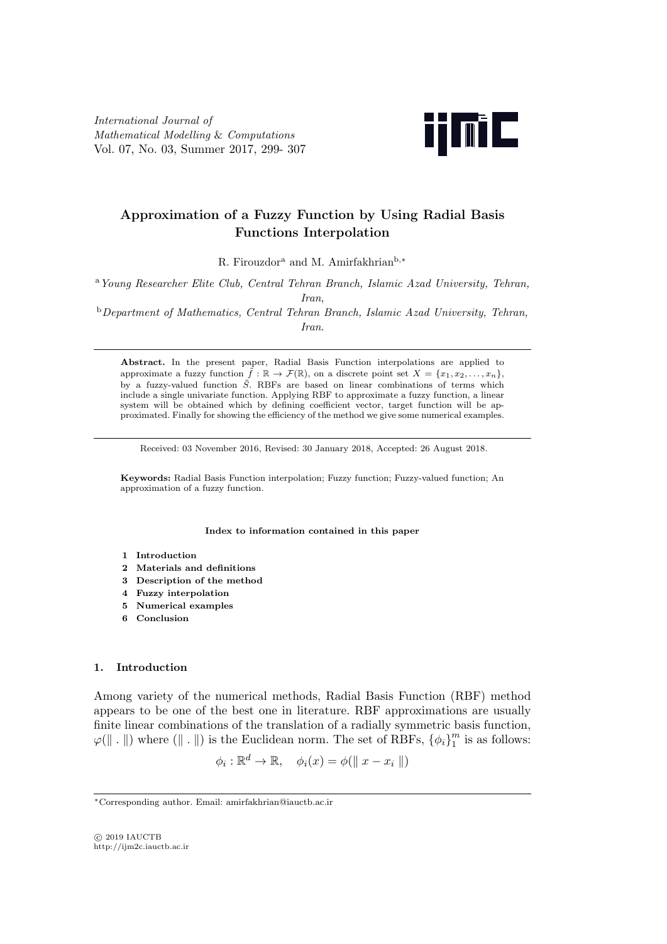International Journal of Mathematical Modelling & Computations Vol. 07, No. 03, Summer 2017, 299- 307



# Approximation of a Fuzzy Function by Using Radial Basis Functions Interpolation

R. Firouzdor<sup>a</sup> and M. Amirfakhrian<sup>b,∗</sup>

<sup>a</sup>Young Researcher Elite Club, Central Tehran Branch, Islamic Azad University, Tehran, Iran,

<sup>b</sup>Department of Mathematics, Central Tehran Branch, Islamic Azad University, Tehran, Iran.

Abstract. In the present paper, Radial Basis Function interpolations are applied to approximate a fuzzy function  $\tilde{f} : \mathbb{R} \to \mathcal{F}(\mathbb{R})$ , on a discrete point set  $X = \{x_1, x_2, \ldots, x_n\}$ , by a fuzzy-valued function  $\tilde{S}$ . RBFs are based on linear combinations of terms which include a single univariate function. Applying RBF to approximate a fuzzy function, a linear system will be obtained which by defining coefficient vector, target function will be approximated. Finally for showing the efficiency of the method we give some numerical examples.

Received: 03 November 2016, Revised: 30 January 2018, Accepted: 26 August 2018.

Keywords: Radial Basis Function interpolation; Fuzzy function; Fuzzy-valued function; An approximation of a fuzzy function.

Index to information contained in this paper

- 1 Introduction
- 2 Materials and definitions
- 3 Description of the method
- 4 Fuzzy interpolation
- 5 Numerical examples
- 6 Conclusion

# 1. Introduction

Among variety of the numerical methods, Radial Basis Function (RBF) method appears to be one of the best one in literature. RBF approximations are usually finite linear combinations of the translation of a radially symmetric basis function,  $\varphi(\|\cdot\|)$  where  $(\|\cdot\|)$  is the Euclidean norm. The set of RBFs,  $\{\phi_i\}_{1}^{m}$  $\frac{m}{1}$  is as follows:

 $\phi_i : \mathbb{R}^d \to \mathbb{R}, \quad \phi_i(x) = \phi(\parallel x - x_i \parallel)$ 

 $C$  2019 IAUCTB http://ijm2c.iauctb.ac.ir

<sup>∗</sup>Corresponding author. Email: amirfakhrian@iauctb.ac.ir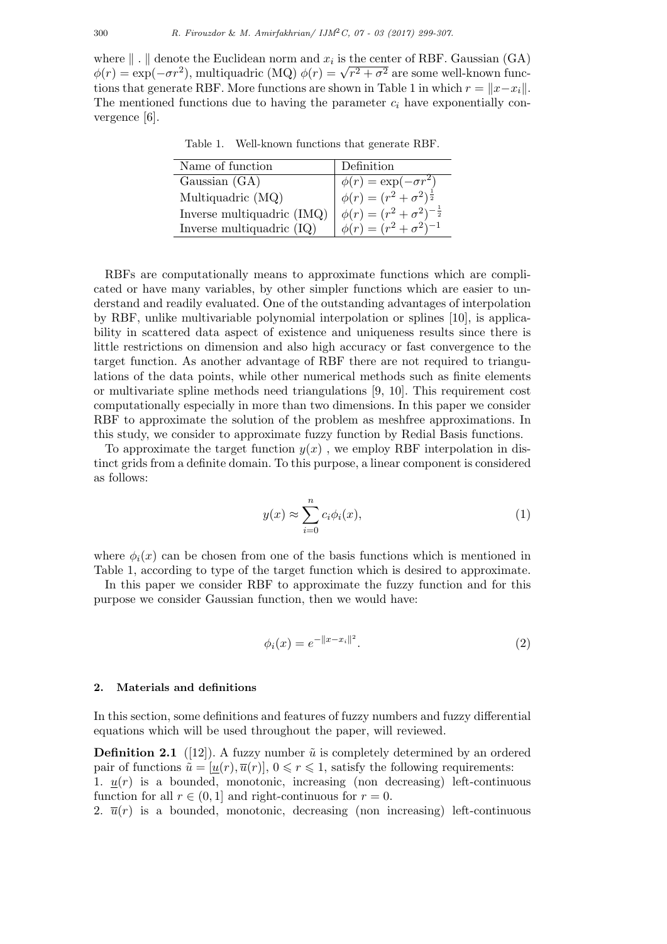where  $\| \cdot \|$  denote the Euclidean norm and  $x_i$  is the center of RBF. Gaussian (GA) where  $\|\cdot\|$  denote the Euclidean norm and  $x_i$  is the center of RBF. Gaussian (GA)  $\phi(r) = \exp(-\sigma r^2)$ , multiquadric (MQ)  $\phi(r) = \sqrt{r^2 + \sigma^2}$  are some well-known functions that generate RBF. More functions are shown in Table 1 in which  $r = ||x-x_i||$ . The mentioned functions due to having the parameter  $c_i$  have exponentially convergence [6].

Table 1. Well-known functions that generate RBF.

| Name of function           | Definition                                  |
|----------------------------|---------------------------------------------|
| Gaussian (GA)              | $\phi(r) = \exp(-\sigma r^2)$               |
| Multiquadric (MQ)          | $\phi(r) = (r^2 + \sigma^2)^{\frac{1}{2}}$  |
| Inverse multiquadric (IMQ) | $\phi(r) = (r^2 + \sigma^2)^{-\frac{1}{2}}$ |
| Inverse multiquadric (IQ)  | $\phi(r) = (r^2 + \sigma^2)^{-1}$           |
|                            |                                             |

RBFs are computationally means to approximate functions which are complicated or have many variables, by other simpler functions which are easier to understand and readily evaluated. One of the outstanding advantages of interpolation by RBF, unlike multivariable polynomial interpolation or splines [10], is applicability in scattered data aspect of existence and uniqueness results since there is little restrictions on dimension and also high accuracy or fast convergence to the target function. As another advantage of RBF there are not required to triangulations of the data points, while other numerical methods such as finite elements or multivariate spline methods need triangulations [9, 10]. This requirement cost computationally especially in more than two dimensions. In this paper we consider RBF to approximate the solution of the problem as meshfree approximations. In this study, we consider to approximate fuzzy function by Redial Basis functions.

To approximate the target function  $y(x)$ , we employ RBF interpolation in distinct grids from a definite domain. To this purpose, a linear component is considered as follows:

$$
y(x) \approx \sum_{i=0}^{n} c_i \phi_i(x), \qquad (1)
$$

where  $\phi_i(x)$  can be chosen from one of the basis functions which is mentioned in Table 1, according to type of the target function which is desired to approximate.

In this paper we consider RBF to approximate the fuzzy function and for this purpose we consider Gaussian function, then we would have:

$$
\phi_i(x) = e^{-\|x - x_i\|^2}.
$$
\n(2)

# 2. Materials and definitions

In this section, some definitions and features of fuzzy numbers and fuzzy differential equations which will be used throughout the paper, will reviewed.

**Definition 2.1** ([12]). A fuzzy number  $\tilde{u}$  is completely determined by an ordered pair of functions  $\tilde{u} = [u(r), \overline{u}(r)], 0 \leq r \leq 1$ , satisfy the following requirements: 1.  $u(r)$  is a bounded, monotonic, increasing (non decreasing) left-continuous function for all  $r \in (0, 1]$  and right-continuous for  $r = 0$ .

2.  $\bar{u}(r)$  is a bounded, monotonic, decreasing (non increasing) left-continuous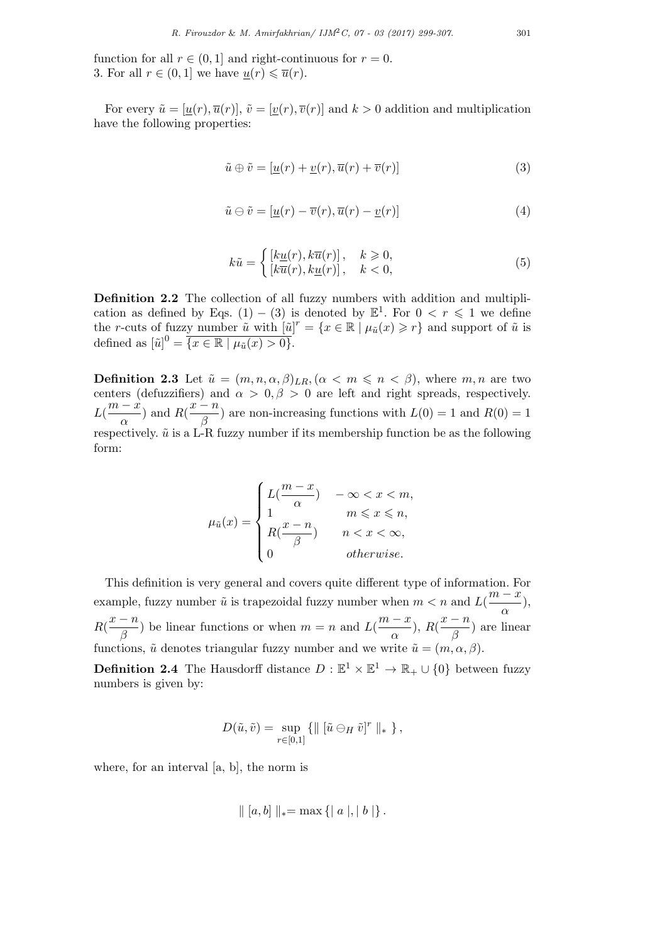function for all  $r \in (0, 1]$  and right-continuous for  $r = 0$ . 3. For all  $r \in (0,1]$  we have  $u(r) \leq \overline{u}(r)$ .

For every  $\tilde{u} = [u(r), \overline{u}(r)], \tilde{v} = [v(r), \overline{v}(r)]$  and  $k > 0$  addition and multiplication have the following properties:

$$
\tilde{u} \oplus \tilde{v} = [\underline{u}(r) + \underline{v}(r), \overline{u}(r) + \overline{v}(r)] \tag{3}
$$

$$
\tilde{u} \ominus \tilde{v} = [\underline{u}(r) - \overline{v}(r), \overline{u}(r) - \underline{v}(r)] \tag{4}
$$

$$
k\tilde{u} = \begin{cases} [k\underline{u}(r), k\overline{u}(r)], & k \geq 0, \\ [k\overline{u}(r), k\underline{u}(r)], & k < 0, \end{cases}
$$
(5)

Definition 2.2 The collection of all fuzzy numbers with addition and multiplication as defined by Eqs. (1) – (3) is denoted by  $\mathbb{E}^{1}$ . For  $0 < r \leq 1$  we define the r-cuts of fuzzy number  $\tilde{u}$  with  $[\tilde{u}]^r = \{x \in \mathbb{R} \mid \mu_{\tilde{u}}(x) \geq r\}$  and support of  $\tilde{u}$  is defined as  $[\tilde{u}]^0 = \overline{\{x \in \mathbb{R} \mid \mu_{\tilde{u}}(x) > 0\}}.$ 

**Definition 2.3** Let  $\tilde{u} = (m, n, \alpha, \beta)_{LR}$ ,  $(\alpha < m \leq n < \beta)$ , where  $m, n$  are two centers (defuzzifiers) and  $\alpha > 0, \beta > 0$  are left and right spreads, respectively.  $L(\frac{m-x}{\cdot})$  $\frac{(x-\hat{x})}{\alpha}$  and  $R(\frac{x-n}{\beta})$  $\binom{n}{\beta}$  are non-increasing functions with  $L(0) = 1$  and  $R(0) = 1$ respectively.  $\tilde{u}$  is a L-R fuzzy number if its membership function be as the following form:

$$
\mu_{\tilde{u}}(x) = \begin{cases} L(\frac{m-x}{\alpha}) & -\infty < x < m, \\ 1 & m \leqslant x \leqslant n, \\ R(\frac{x-n}{\beta}) & n < x < \infty, \\ 0 & \text{otherwise.} \end{cases}
$$

This definition is very general and covers quite different type of information. For example, fuzzy number  $\tilde{u}$  is trapezoidal fuzzy number when  $m < n$  and  $L(\frac{m-x}{n})$  $\frac{\alpha}{\alpha}$ ),  $R(\frac{x-n}{a})$  $\binom{n-n}{\beta}$ ) be linear functions or when  $m = n$  and  $L(\frac{m-x}{\alpha})$  $\frac{(-x)}{\alpha}$ ),  $R(\frac{x-n}{\beta})$  $\frac{n}{\beta}$  are linear functions,  $\tilde{u}$  denotes triangular fuzzy number and we write  $\tilde{u} = (m, \alpha, \beta)$ .

**Definition 2.4** The Hausdorff distance  $D : \mathbb{E}^1 \times \mathbb{E}^1 \to \mathbb{R}_+ \cup \{0\}$  between fuzzy numbers is given by:

$$
D(\tilde{u}, \tilde{v}) = \sup_{r \in [0,1]} \{ \parallel [\tilde{u} \ominus_H \tilde{v}]^r \parallel_* \},
$$

where, for an interval [a, b], the norm is

$$
\| [a, b] \|_{*} = \max \{ | a |, | b | \}.
$$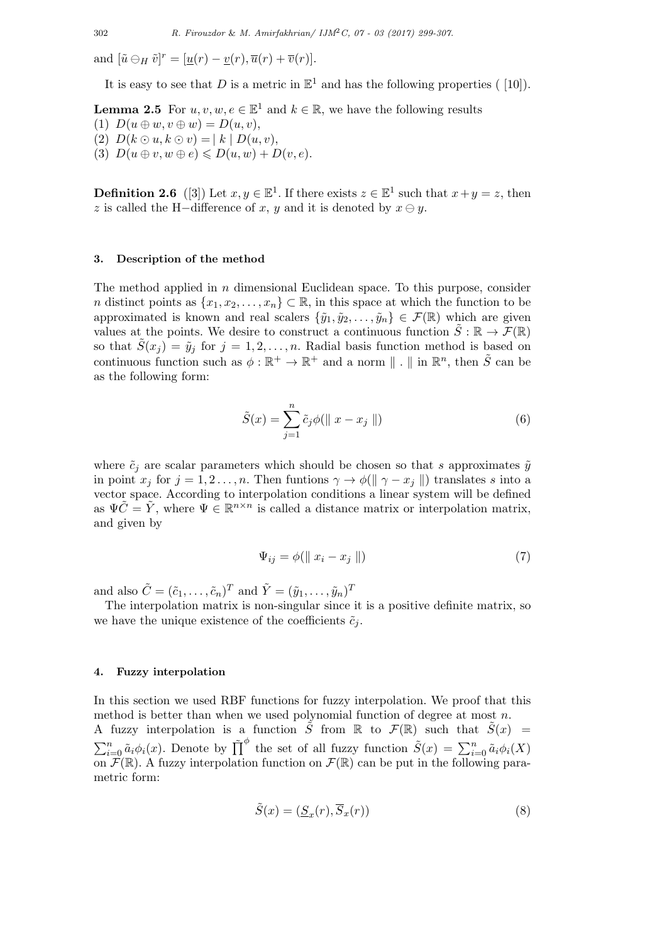and  $[\tilde{u} \ominus_H \tilde{v}]^r = [\underline{u}(r) - \underline{v}(r), \overline{u}(r) + \overline{v}(r)].$ 

It is easy to see that D is a metric in  $\mathbb{E}^1$  and has the following properties ([10]).

**Lemma 2.5** For  $u, v, w, e \in \mathbb{E}^1$  and  $k \in \mathbb{R}$ , we have the following results

(1)  $D(u \oplus w, v \oplus w) = D(u, v),$ (2)  $D(k \odot u, k \odot v) = |k| D(u, v),$ 

(3)  $D(u \oplus v, w \oplus e) \leq D(u, w) + D(v, e).$ 

**Definition 2.6** ([3]) Let  $x, y \in \mathbb{E}^1$ . If there exists  $z \in \mathbb{E}^1$  such that  $x + y = z$ , then z is called the H-difference of x, y and it is denoted by  $x \ominus y$ .

#### 3. Description of the method

The method applied in  $n$  dimensional Euclidean space. To this purpose, consider n distinct points as  $\{x_1, x_2, \ldots, x_n\} \subset \mathbb{R}$ , in this space at which the function to be approximated is known and real scalers  $\{\tilde{y}_1, \tilde{y}_2, \ldots, \tilde{y}_n\} \in \mathcal{F}(\mathbb{R})$  which are given values at the points. We desire to construct a continuous function  $\tilde{S} : \mathbb{R} \to \mathcal{F}(\mathbb{R})$ so that  $S(x_j) = \tilde{y}_j$  for  $j = 1, 2, ..., n$ . Radial basis function method is based on continuous function such as  $\phi : \mathbb{R}^+ \to \mathbb{R}^+$  and a norm  $\| \cdot \|$  in  $\mathbb{R}^n$ , then  $\tilde{S}$  can be as the following form:

$$
\tilde{S}(x) = \sum_{j=1}^{n} \tilde{c}_j \phi(\|x - x_j\|)
$$
\n(6)

where  $\tilde{c}_i$  are scalar parameters which should be chosen so that s approximates  $\tilde{y}$ in point  $x_j$  for  $j = 1, 2, ..., n$ . Then funtions  $\gamma \to \phi(\|\gamma - x_j\|)$  translates s into a vector space. According to interpolation conditions a linear system will be defined as  $\Psi \tilde{C} = \tilde{Y}$ , where  $\Psi \in \mathbb{R}^{n \times n}$  is called a distance matrix or interpolation matrix, and given by

$$
\Psi_{ij} = \phi(||x_i - x_j||) \tag{7}
$$

and also  $\tilde{C} = (\tilde{c}_1, \ldots, \tilde{c}_n)^T$  and  $\tilde{Y} = (\tilde{y}_1, \ldots, \tilde{y}_n)^T$ 

The interpolation matrix is non-singular since it is a positive definite matrix, so we have the unique existence of the coefficients  $\tilde{c}_i$ .

## 4. Fuzzy interpolation

In this section we used RBF functions for fuzzy interpolation. We proof that this method is better than when we used polynomial function of degree at most  $n$ . A fuzzy interpolation is a function  $\tilde{S}$  from  $\mathbb R$  to  $\mathcal{F}(\mathbb R)$  such that  $\tilde{S}(x)$  =  $\sum_{i=0}^n \tilde{a}_i \phi_i(x)$ . Denote by  $\tilde{\prod}^{\phi}$  the set of all fuzzy function  $\tilde{S}(x) = \sum_{i=0}^n \tilde{a}_i \phi_i(X)$ on  $\mathcal{F}(\mathbb{R})$ . A fuzzy interpolation function on  $\mathcal{F}(\mathbb{R})$  can be put in the following parametric form:

$$
\tilde{S}(x) = (\underline{S}_x(r), \overline{S}_x(r))
$$
\n(8)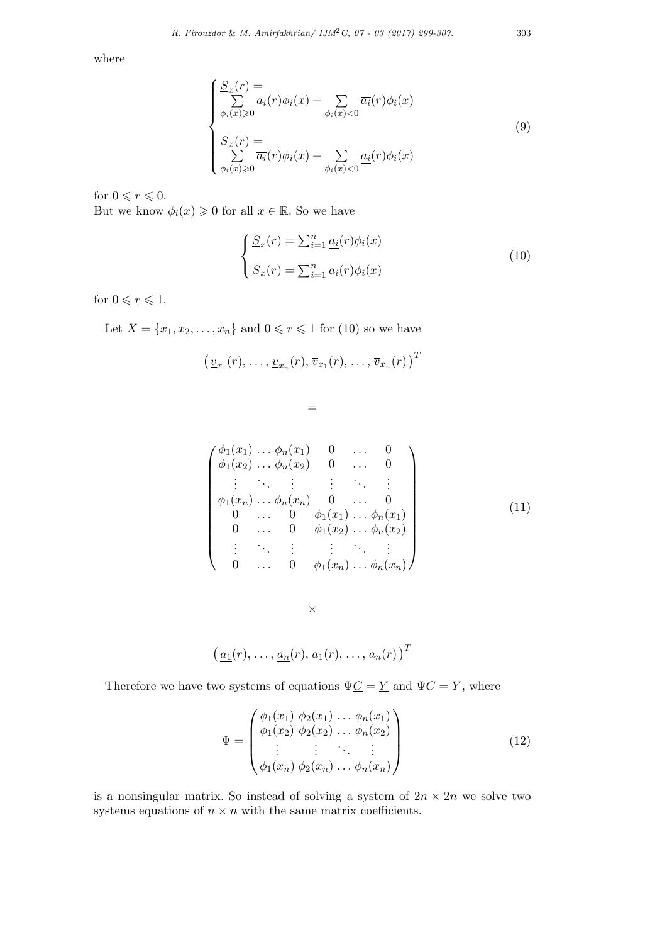where

$$
\begin{cases}\n\frac{S_x(r)}{\sum\limits_{\phi_i(x)\geq 0} a_i(r)\phi_i(x)} + \sum\limits_{\phi_i(x)<0} \overline{a_i}(r)\phi_i(x) \\
\overline{S}_x(r) = \sum\limits_{\phi_i(x)\geq 0} \overline{a_i}(r)\phi_i(x) + \sum\limits_{\phi_i(x)<0} \underline{a_i}(r)\phi_i(x)\n\end{cases}
$$
\n(9)

for  $0 \leqslant r \leqslant 0$ . But we know  $\phi_i(x) \geq 0$  for all  $x \in \mathbb{R}$ . So we have

$$
\begin{cases}\n\underline{S}_x(r) = \sum_{i=1}^n \underline{a_i}(r)\phi_i(x) \\
\overline{S}_x(r) = \sum_{i=1}^n \overline{a_i}(r)\phi_i(x)\n\end{cases}
$$
\n(10)

for  $0 \leqslant r \leqslant 1$ .

Let  $X = \{x_1, x_2, ..., x_n\}$  and  $0 \le r \le 1$  for (10) so we have

$$
\big(\underline{v}_{x_1}(r),\ldots,\underline{v}_{x_n}(r),\overline{v}_{x_1}(r),\ldots,\overline{v}_{x_n}(r)\big)^T
$$

 $=$ 

$$
\begin{pmatrix}\n\phi_1(x_1) \dots \phi_n(x_1) & 0 & \dots & 0 \\
\phi_1(x_2) \dots \phi_n(x_2) & 0 & \dots & 0 \\
\vdots & \vdots & \vdots & \ddots & \vdots \\
\phi_1(x_n) \dots \phi_n(x_n) & 0 & \dots & 0 \\
0 & \dots & 0 & \phi_1(x_1) \dots \phi_n(x_1) \\
0 & \dots & 0 & \phi_1(x_2) \dots \phi_n(x_2) \\
\vdots & \vdots & \vdots & \vdots & \vdots \\
0 & \dots & 0 & \phi_1(x_n) \dots \phi_n(x_n)\n\end{pmatrix}
$$
\n(11)

 $\times$ 

$$
\left(\underline{a_1}(r),\ldots,\underline{a_n}(r),\overline{a_1}(r),\ldots,\overline{a_n}(r)\right)^T
$$

Therefore we have two systems of equations  $\Psi \underline{C} = \underline{Y}$  and  $\Psi \overline{C} = \overline{Y},$  where

$$
\Psi = \begin{pmatrix} \phi_1(x_1) & \phi_2(x_1) & \dots & \phi_n(x_1) \\ \phi_1(x_2) & \phi_2(x_2) & \dots & \phi_n(x_2) \\ \vdots & \vdots & \ddots & \vdots \\ \phi_1(x_n) & \phi_2(x_n) & \dots & \phi_n(x_n) \end{pmatrix}
$$
(12)

is a nonsingular matrix. So instead of solving a system of  $2n \times 2n$  we solve two systems equations of  $n \times n$  with the same matrix coefficients.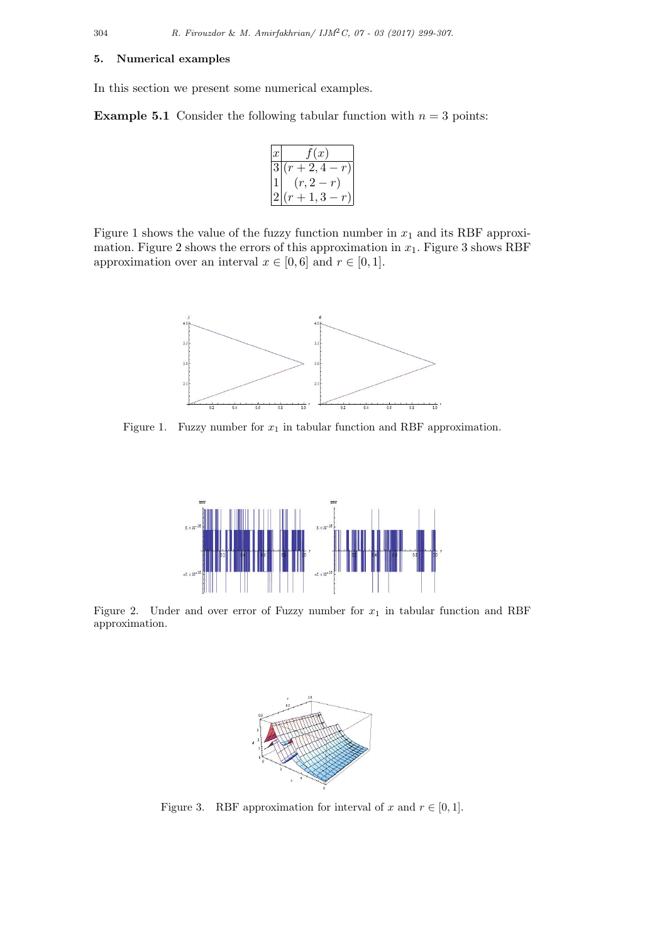## 5. Numerical examples

In this section we present some numerical examples.

**Example 5.1** Consider the following tabular function with  $n = 3$  points:

$$
\begin{array}{c}\n\overline{x} & \tilde{f}(x) \\
\hline\n3(r+2,4-r) \\
1 & (r,2-r) \\
2(r+1,3-r)\n\end{array}
$$

Figure 1 shows the value of the fuzzy function number in  $x_1$  and its RBF approximation. Figure 2 shows the errors of this approximation in  $x_1$ . Figure 3 shows RBF approximation over an interval  $x \in [0,6]$  and  $r \in [0,1]$ .



Figure 1. Fuzzy number for  $x_1$  in tabular function and RBF approximation.



Figure 2. Under and over error of Fuzzy number for  $x_1$  in tabular function and RBF approximation.



Figure 3. RBF approximation for interval of x and  $r \in [0,1]$ .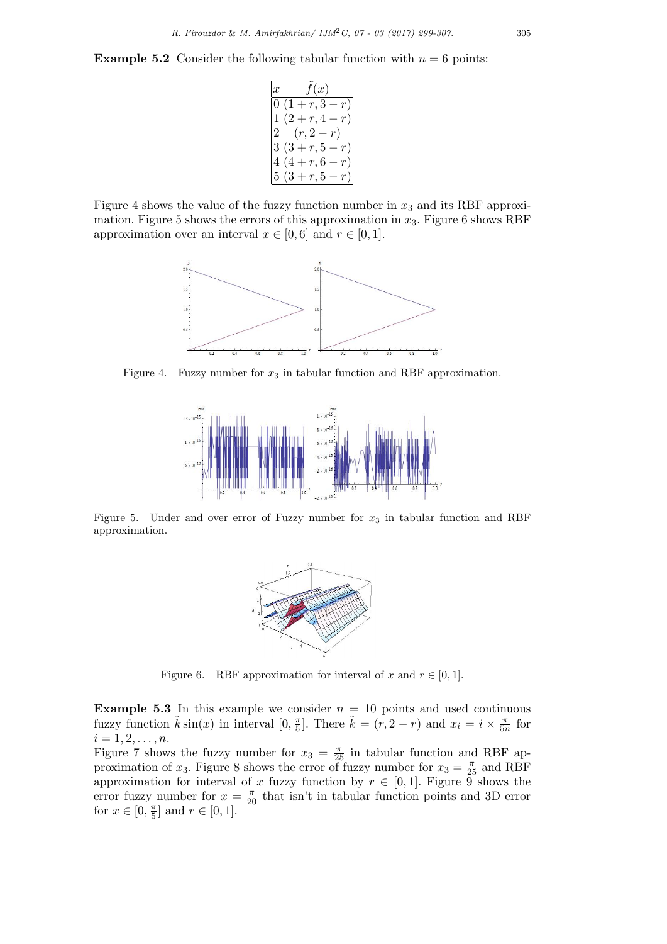**Example 5.2** Consider the following tabular function with  $n = 6$  points:

```
\bar{x} \tilde{f}(x)0 | (1 + r, 3 - r)r, 4 - r2 (r, 2-r)3(3 + r, 5 - r)4|(4+r,6-r)5|(3 + r, 5 - r)
```
Figure 4 shows the value of the fuzzy function number in  $x_3$  and its RBF approximation. Figure 5 shows the errors of this approximation in  $x_3$ . Figure 6 shows RBF approximation over an interval  $x \in [0,6]$  and  $r \in [0,1]$ .



Figure 4. Fuzzy number for  $x_3$  in tabular function and RBF approximation.



Figure 5. Under and over error of Fuzzy number for  $x_3$  in tabular function and RBF approximation.



Figure 6. RBF approximation for interval of x and  $r \in [0,1]$ .

**Example 5.3** In this example we consider  $n = 10$  points and used continuous fuzzy function  $\tilde{k} \sin(x)$  in interval  $[0, \frac{\pi}{5}]$  $\frac{\pi}{5}$ . There  $\tilde{k} = (r, 2-r)$  and  $x_i = i \times \frac{\pi}{5i}$  $rac{\pi}{5n}$  for  $i = 1, 2, \ldots, n$ .

Figure 7 shows the fuzzy number for  $x_3 = \frac{\pi}{25}$  in tabular function and RBF approximation of  $x_3$ . Figure 8 shows the error of fuzzy number for  $x_3 = \frac{\pi}{25}$  and RBF approximation for interval of x fuzzy function by  $r \in [0,1]$ . Figure  $\overline{9}$  shows the error fuzzy number for  $x = \frac{\pi}{20}$  that isn't in tabular function points and 3D error for  $x \in [0, \frac{\pi}{5}]$  $\frac{\pi}{5}$  and  $r \in [0, 1]$ .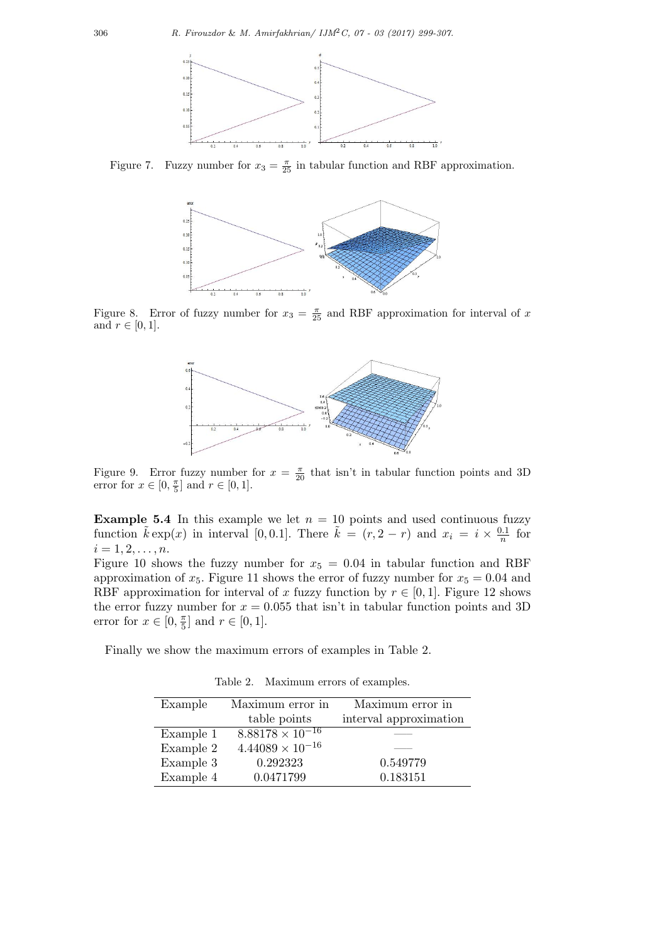

Figure 7. Fuzzy number for  $x_3 = \frac{\pi}{25}$  in tabular function and RBF approximation.



Figure 8. Error of fuzzy number for  $x_3 = \frac{\pi}{25}$  and RBF approximation for interval of x and  $r \in [0,1]$ .



Figure 9. Error fuzzy number for  $x = \frac{\pi}{20}$  that isn't in tabular function points and 3D error for  $x \in [0, \frac{\pi}{5}]$  and  $r \in [0, 1]$ .

**Example 5.4** In this example we let  $n = 10$  points and used continuous fuzzy function  $\tilde{k} \exp(x)$  in interval [0, 0.1]. There  $\tilde{k} = (r, 2 - r)$  and  $x_i = i \times \frac{0.1}{n}$  $\frac{1}{n}$  for  $i = 1, 2, \ldots, n$ .

Figure 10 shows the fuzzy number for  $x_5 = 0.04$  in tabular function and RBF approximation of  $x_5$ . Figure 11 shows the error of fuzzy number for  $x_5 = 0.04$  and RBF approximation for interval of x fuzzy function by  $r \in [0, 1]$ . Figure 12 shows the error fuzzy number for  $x = 0.055$  that isn't in tabular function points and 3D error for  $x \in [0, \frac{\pi}{5}]$  $\frac{\pi}{5}$  and  $r \in [0, 1]$ .

Finally we show the maximum errors of examples in Table 2.

| Example   | Maximum error in          | Maximum error in       |
|-----------|---------------------------|------------------------|
|           | table points              | interval approximation |
| Example 1 | $8.88178 \times 10^{-16}$ |                        |
| Example 2 | $4.44089 \times 10^{-16}$ |                        |
| Example 3 | 0.292323                  | 0.549779               |
| Example 4 | 0.0471799                 | 0.183151               |

Table 2. Maximum errors of examples.